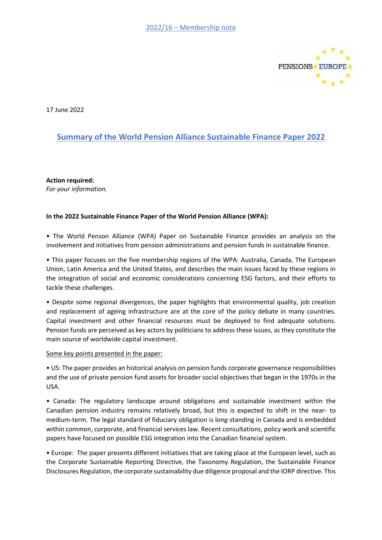

17 June 2022

## **Summary of the World Pension Alliance Sustainable Finance Paper 2022**

**Action required:**  *For your information.*

## **In the 2022 Sustainable Finance Paper of the World Pension Alliance (WPA):**

• The World Penson Alliance (WPA) Paper on Sustainable Finance provides an analysis on the involvement and initiatives from pension administrations and pension funds in sustainable finance.

• This paper focuses on the five membership regions of the WPA: Australia, Canada, The European Union, Latin America and the United States, and describes the main issues faced by these regions in the integration of social and economic considerations concerning ESG factors, and their efforts to tackle these challenges.

• Despite some regional divergences, the paper highlights that environmental quality, job creation and replacement of ageing infrastructure are at the core of the policy debate in many countries. Capital investment and other financial resources must be deployed to find adequate solutions. Pension funds are perceived as key actors by politicians to address these issues, as they constitute the main source of worldwide capital investment.

## Some key points presented in the paper:

• US: The paper provides an historical analysis on pension funds corporate governance responsibilities and the use of private pension fund assets for broader social objectives that began in the 1970s in the USA.

• Canada: The regulatory landscape around obligations and sustainable investment within the Canadian pension industry remains relatively broad, but this is expected to shift in the near- to medium-term. The legal standard of fiduciary obligation is long-standing in Canada and is embedded within common, corporate, and financial services law. Recent consultations, policy work and scientific papers have focused on possible ESG integration into the Canadian financial system.

• Europe: The paper presents different initiatives that are taking place at the European level, such as the Corporate Sustainable Reporting Directive, the Taxonomy Regulation, the Sustainable Finance Disclosures Regulation, the corporate sustainability due diligence proposal and the IORP directive. This